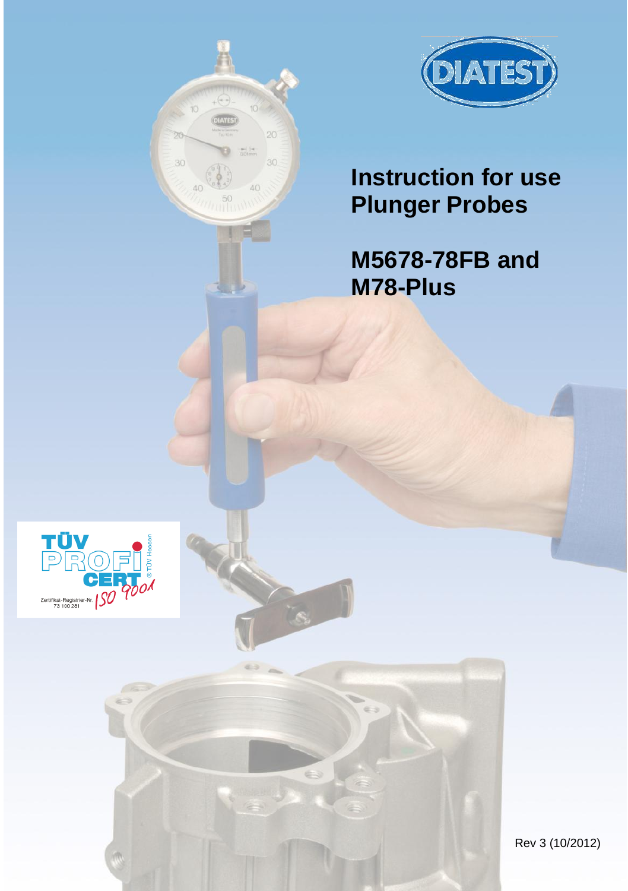

# **Instruction for use Plunger Probes**

oò

# **M5678-78FB and M78-Plus**



Rev 3 (10/2012)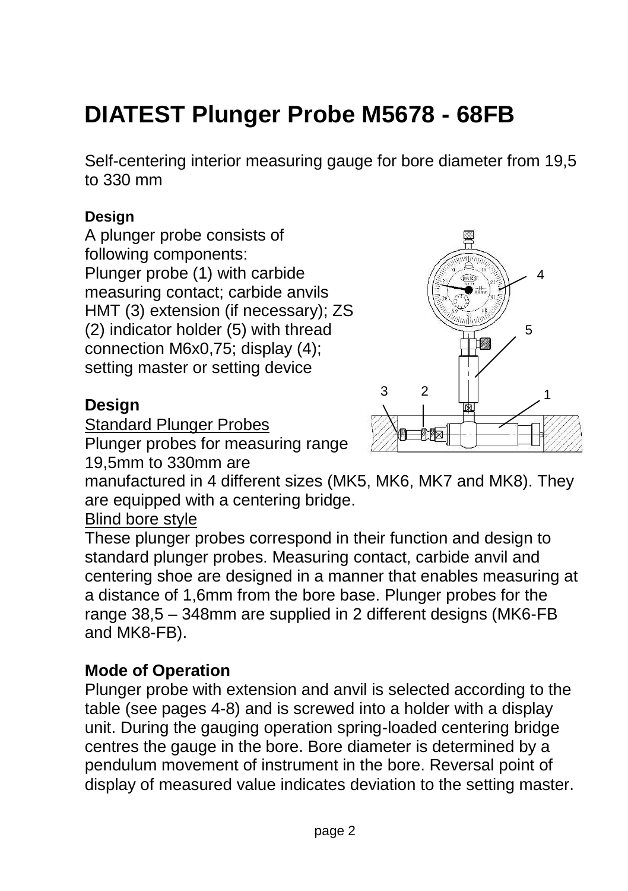# **DIATEST Plunger Probe M5678 - 68FB**

Self-centering interior measuring gauge for bore diameter from 19,5 to 330 mm

### **Design**

A plunger probe consists of following components: Plunger probe (1) with carbide measuring contact; carbide anvils HMT (3) extension (if necessary); ZS (2) indicator holder (5) with thread connection M6x0,75; display (4); setting master or setting device

### **Design**

Standard Plunger Probes

Plunger probes for measuring range 19,5mm to 330mm are

manufactured in 4 different sizes (MK5, MK6, MK7 and MK8). They are equipped with a centering bridge.

Blind bore style

These plunger probes correspond in their function and design to standard plunger probes. Measuring contact, carbide anvil and centering shoe are designed in a manner that enables measuring at a distance of 1,6mm from the bore base. Plunger probes for the range 38,5 – 348mm are supplied in 2 different designs (MK6-FB and MK8-FB).

#### **Mode of Operation**

Plunger probe with extension and anvil is selected according to the table (see pages 4-8) and is screwed into a holder with a display unit. During the gauging operation spring-loaded centering bridge centres the gauge in the bore. Bore diameter is determined by a pendulum movement of instrument in the bore. Reversal point of display of measured value indicates deviation to the setting master.

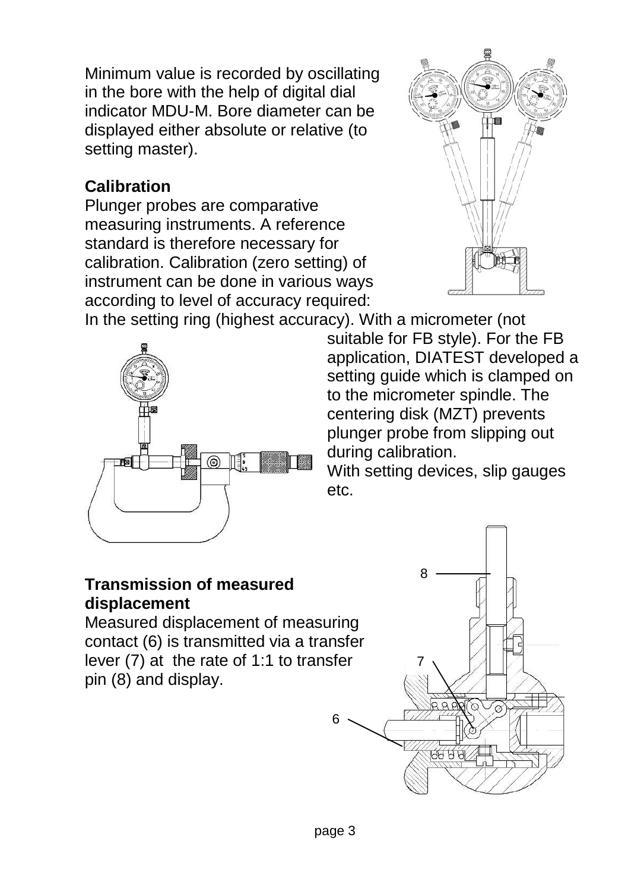Minimum value is recorded by oscillating in the bore with the help of digital dial indicator MDU-M. Bore diameter can be displayed either absolute or relative (to setting master).

## **Calibration**

Plunger probes are comparative measuring instruments. A reference standard is therefore necessary for calibration. Calibration (zero setting) of instrument can be done in various ways according to level of accuracy required:



In the setting ring (highest accuracy). With a micrometer (not suitable for FB style). For the FB application, DIATEST developed a setting guide which is clamped on to the micrometer spindle. The centering disk (MZT) prevents plunger probe from slipping out during calibration.

With setting devices, slip gauges etc.

#### **Transmission of measured displacement**

Measured displacement of measuring contact (6) is transmitted via a transfer lever (7) at the rate of 1:1 to transfer pin (8) and display.





6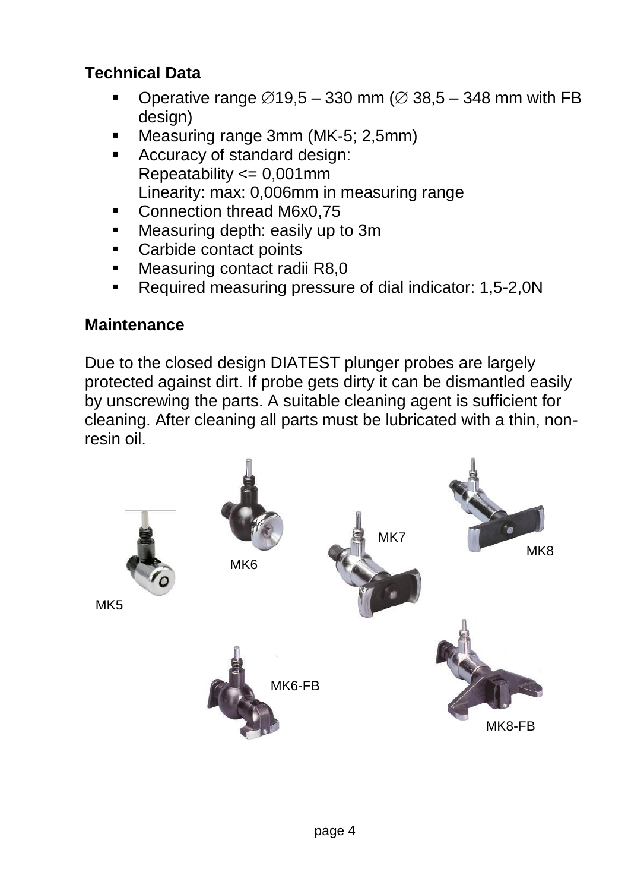## **Technical Data**

- Operative range  $\varnothing$ 19,5 330 mm ( $\varnothing$  38,5 348 mm with FB design)
- Measuring range 3mm (MK-5; 2,5mm)
- Accuracy of standard design: Repeatability <= 0,001mm Linearity: max: 0,006mm in measuring range
- Connection thread M6x0.75
- **Measuring depth: easily up to 3m.**
- Carbide contact points
- Measuring contact radii R8.0
- Required measuring pressure of dial indicator: 1,5-2,0N

# **Maintenance**

Due to the closed design DIATEST plunger probes are largely protected against dirt. If probe gets dirty it can be dismantled easily by unscrewing the parts. A suitable cleaning agent is sufficient for cleaning. After cleaning all parts must be lubricated with a thin, nonresin oil.

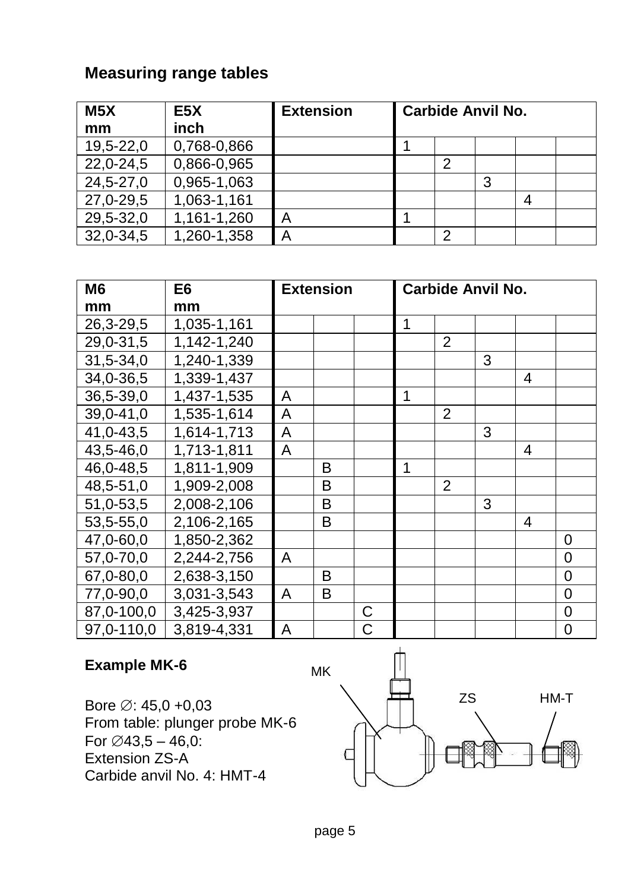| M <sub>5</sub> X | E <sub>5</sub> X | <b>Extension</b> | <b>Carbide Anvil No.</b> |   |   |  |  |
|------------------|------------------|------------------|--------------------------|---|---|--|--|
| mm               | inch             |                  |                          |   |   |  |  |
| 19,5-22,0        | 0,768-0,866      |                  |                          |   |   |  |  |
| 22,0-24,5        | 0,866-0,965      |                  |                          | 2 |   |  |  |
| 24,5-27,0        | 0,965-1,063      |                  |                          |   | 3 |  |  |
| 27,0-29,5        | 1,063-1,161      |                  |                          |   |   |  |  |
| 29,5-32,0        | 1,161-1,260      | Α                |                          |   |   |  |  |
| 32,0-34,5        | 1,260-1,358      | А                |                          |   |   |  |  |

| M <sub>6</sub> | E6                        | Extension |   | <b>Carbide Anvil No.</b> |   |   |   |   |          |  |
|----------------|---------------------------|-----------|---|--------------------------|---|---|---|---|----------|--|
| mm             | mm                        |           |   |                          |   |   |   |   |          |  |
| 26,3-29,5      | 1,035-1,161               |           |   |                          | 1 |   |   |   |          |  |
| 29,0-31,5      | $\overline{1,}142-1,240$  |           |   |                          |   | 2 |   |   |          |  |
| 31,5-34,0      | $\overline{1,240}$ -1,339 |           |   |                          |   |   | 3 |   |          |  |
| 34,0-36,5      | 1,339-1,437               |           |   |                          |   |   |   | 4 |          |  |
| 36,5-39,0      | 1,437-1,535               | A         |   |                          | 1 |   |   |   |          |  |
| 39,0-41,0      | 1,535-1,614               | Α         |   |                          |   | 2 |   |   |          |  |
| 41,0-43,5      | $1,614-1,713$             | A         |   |                          |   |   | 3 |   |          |  |
| 43,5-46,0      | $1,713-1,811$             | A         |   |                          |   |   |   | 4 |          |  |
| 46,0-48,5      | 1,811-1,909               |           | В |                          | 1 |   |   |   |          |  |
| 48,5-51,0      | 1,909-2,008               |           | в |                          |   | 2 |   |   |          |  |
| 51,0-53,5      | 2,008-2,106               |           | в |                          |   |   | 3 |   |          |  |
| 53,5-55,0      | 2,106-2,165               |           | B |                          |   |   |   | 4 |          |  |
| 47,0-60,0      | 1,850-2,362               |           |   |                          |   |   |   |   | $\Omega$ |  |
| 57,0-70,0      | $2,244-2,756$             | A         |   |                          |   |   |   |   | 0        |  |
| 67,0-80,0      | 2,638-3,150               |           | B |                          |   |   |   |   | $\Omega$ |  |
| 77,0-90,0      | 3,031-3,543               | A         | B |                          |   |   |   |   | $\Omega$ |  |
| 87,0-100,0     | 3,425-3,937               |           |   | C                        |   |   |   |   | 0        |  |
| 97,0-110,0     | 3,819-4,331               | A         |   | C                        |   |   |   |   | 0        |  |

#### **Example MK-6**

Bore  $\oslash$ : 45,0 +0,03 From table: plunger probe MK-6 For  $\emptyset$ 43,5 – 46,0: Extension ZS-A Carbide anvil No. 4: HMT-4

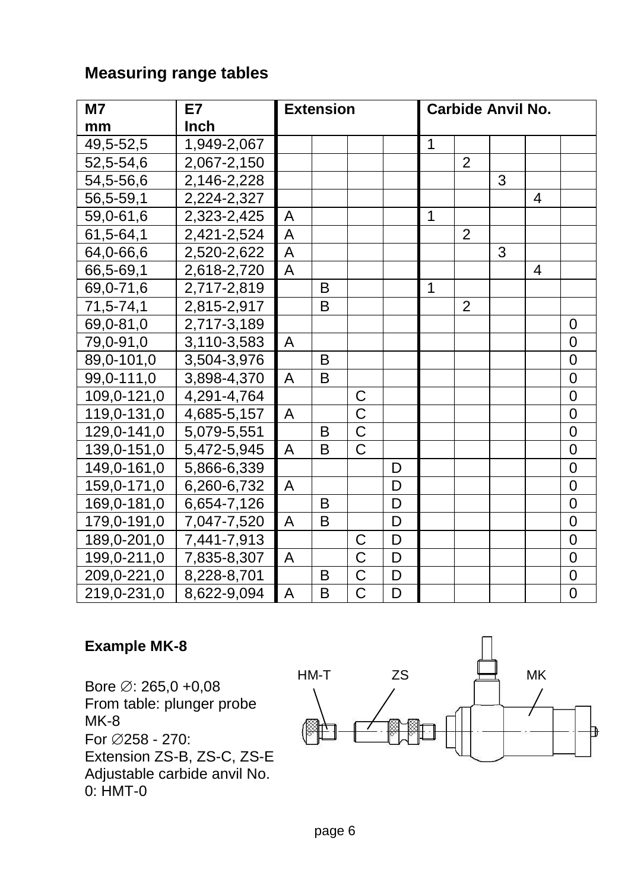| M7          | E7          | <b>Extension</b> |   |                       | <b>Carbide Anvil No.</b> |             |                |   |                |                |
|-------------|-------------|------------------|---|-----------------------|--------------------------|-------------|----------------|---|----------------|----------------|
| mm          | Inch        |                  |   |                       |                          |             |                |   |                |                |
| 49,5-52,5   | 1,949-2,067 |                  |   |                       |                          | $\mathbf 1$ |                |   |                |                |
| 52,5-54,6   | 2,067-2,150 |                  |   |                       |                          |             | $\overline{2}$ |   |                |                |
| 54,5-56,6   | 2,146-2,228 |                  |   |                       |                          |             |                | 3 |                |                |
| 56,5-59,1   | 2,224-2,327 |                  |   |                       |                          |             |                |   | 4              |                |
| 59,0-61,6   | 2,323-2,425 | Α                |   |                       |                          | 1           |                |   |                |                |
| 61,5-64,1   | 2,421-2,524 | A                |   |                       |                          |             | 2              |   |                |                |
| 64,0-66,6   | 2,520-2,622 | A                |   |                       |                          |             |                | 3 |                |                |
| 66,5-69,1   | 2,618-2,720 | A                |   |                       |                          |             |                |   | $\overline{4}$ |                |
| 69,0-71,6   | 2,717-2,819 |                  | B |                       |                          | 1           |                |   |                |                |
| 71,5-74,1   | 2,815-2,917 |                  | B |                       |                          |             | $\overline{2}$ |   |                |                |
| 69,0-81,0   | 2,717-3,189 |                  |   |                       |                          |             |                |   |                | $\Omega$       |
| 79,0-91,0   | 3,110-3,583 | A                |   |                       |                          |             |                |   |                | $\Omega$       |
| 89,0-101,0  | 3,504-3,976 |                  | B |                       |                          |             |                |   |                | 0              |
| 99,0-111,0  | 3,898-4,370 | Α                | B |                       |                          |             |                |   |                | $\overline{0}$ |
| 109,0-121,0 | 4,291-4,764 |                  |   | С                     |                          |             |                |   |                | $\mathbf 0$    |
| 119,0-131,0 | 4,685-5,157 | А                |   | $\overline{\text{c}}$ |                          |             |                |   |                | $\overline{0}$ |
| 129,0-141,0 | 5,079-5,551 |                  | B | C                     |                          |             |                |   |                | 0              |
| 139,0-151,0 | 5,472-5,945 | Α                | B | $\overline{\text{c}}$ |                          |             |                |   |                | 0              |
| 149,0-161,0 | 5,866-6,339 |                  |   |                       | D                        |             |                |   |                | $\overline{0}$ |
| 159,0-171,0 | 6,260-6,732 | A                |   |                       | D                        |             |                |   |                | 0              |
| 169,0-181,0 | 6,654-7,126 |                  | B |                       | D                        |             |                |   |                | $\overline{0}$ |
| 179,0-191,0 | 7,047-7,520 | A                | B |                       | D                        |             |                |   |                | $\overline{0}$ |
| 189,0-201,0 | 7,441-7,913 |                  |   | C                     | D                        |             |                |   |                | 0              |
| 199,0-211,0 | 7,835-8,307 | Α                |   | $\overline{\text{C}}$ | D                        |             |                |   |                | $\mathbf 0$    |
| 209,0-221,0 | 8,228-8,701 |                  | B | $\overline{C}$        | D                        |             |                |   |                | $\mathbf 0$    |
| 219,0-231,0 | 8,622-9,094 | A                | B | $\mathsf{C}$          | D                        |             |                |   |                | $\overline{0}$ |

#### **Example MK-8**

Bore  $\varnothing$ : 265,0 +0,08 From table: plunger probe  $MK-8$ For 258 - 270: Extension ZS-B, ZS-C, ZS-E Adjustable carbide anvil No. 0: HMT-0

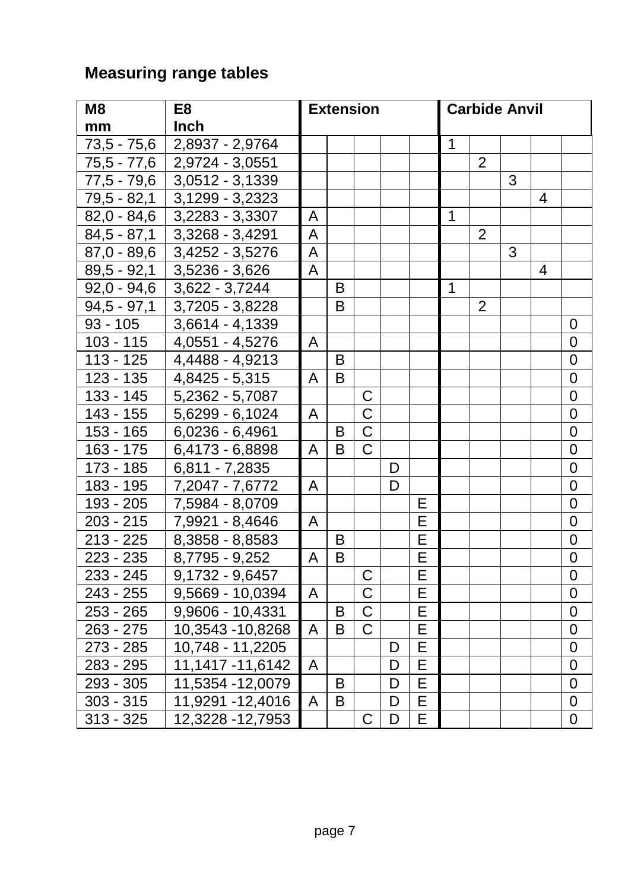| M8            | E8                | <b>Extension</b> |   |                       |   |   | <b>Carbide Anvil</b> |                |   |   |                |
|---------------|-------------------|------------------|---|-----------------------|---|---|----------------------|----------------|---|---|----------------|
| mm            | Inch              |                  |   |                       |   |   |                      |                |   |   |                |
| $73,5 - 75,6$ | 2,8937 - 2,9764   |                  |   |                       |   |   | 1                    |                |   |   |                |
| 75,5 - 77,6   | 2,9724 - 3,0551   |                  |   |                       |   |   |                      | $\overline{2}$ |   |   |                |
| $77,5 - 79,6$ | 3,0512 - 3,1339   |                  |   |                       |   |   |                      |                | 3 |   |                |
| 79,5 - 82,1   | 3,1299 - 3,2323   |                  |   |                       |   |   |                      |                |   | 4 |                |
| $82,0 - 84,6$ | 3,2283 - 3,3307   | Α                |   |                       |   |   | $\mathbf{1}$         |                |   |   |                |
| $84,5 - 87,1$ | 3,3268 - 3,4291   | A                |   |                       |   |   |                      | $\overline{2}$ |   |   |                |
| $87,0 - 89,6$ | 3,4252 - 3,5276   | A                |   |                       |   |   |                      |                | 3 |   |                |
| $89,5 - 92,1$ | 3,5236 - 3,626    | A                |   |                       |   |   |                      |                |   | 4 |                |
| $92,0 - 94,6$ | $3,622 - 3,7244$  |                  | B |                       |   |   | 1                    |                |   |   |                |
| $94,5 - 97,1$ | 3,7205 - 3,8228   |                  | B |                       |   |   |                      | 2              |   |   |                |
| $93 - 105$    | 3,6614 - 4,1339   |                  |   |                       |   |   |                      |                |   |   | 0              |
| $103 - 115$   | 4,0551 - 4,5276   | Α                |   |                       |   |   |                      |                |   |   | 0              |
| $113 - 125$   | 4,4488 - 4,9213   |                  | B |                       |   |   |                      |                |   |   | 0              |
| $123 - 135$   | 4,8425 - 5,315    | Α                | B |                       |   |   |                      |                |   |   | 0              |
| $133 - 145$   | 5,2362 - 5,7087   |                  |   | C                     |   |   |                      |                |   |   | 0              |
| 143 - 155     | 5,6299 - 6,1024   | Α                |   | $\overline{\text{c}}$ |   |   |                      |                |   |   | 0              |
| $153 - 165$   | $6,0236 - 6,4961$ |                  | B | $\overline{\text{c}}$ |   |   |                      |                |   |   | 0              |
| $163 - 175$   | 6,4173 - 6,8898   | A                | B | $\overline{C}$        |   |   |                      |                |   |   | 0              |
| 173 - 185     | 6,811 - 7,2835    |                  |   |                       | D |   |                      |                |   |   | 0              |
| 183 - 195     | 7,2047 - 7,6772   | Α                |   |                       | D |   |                      |                |   |   | $\mathbf 0$    |
| 193 - 205     | 7,5984 - 8,0709   |                  |   |                       |   | Е |                      |                |   |   | $\mathbf 0$    |
| $203 - 215$   | 7,9921 - 8,4646   | Α                |   |                       |   | E |                      |                |   |   | $\mathbf 0$    |
| $213 - 225$   | 8,3858 - 8,8583   |                  | В |                       |   | E |                      |                |   |   | 0              |
| 223 - 235     | 8,7795 - 9,252    | Α                | B |                       |   | E |                      |                |   |   | $\mathbf 0$    |
| 233 - 245     | 9,1732 - 9,6457   |                  |   | C                     |   | Ē |                      |                |   |   | 0              |
| 243 - 255     | 9,5669 - 10,0394  | A                |   | C                     |   | E |                      |                |   |   | $\mathbf 0$    |
| 253 - 265     | 9,9606 - 10,4331  |                  | B | $\overline{\text{c}}$ |   | E |                      |                |   |   | $\mathbf 0$    |
| 263 - 275     | 10,3543 - 10,8268 | A                | B | C                     |   | E |                      |                |   |   | 0              |
| 273 - 285     | 10,748 - 11,2205  |                  |   |                       | D | E |                      |                |   |   | 0              |
| 283 - 295     | 11,1417 - 11,6142 | Α                |   |                       | D | Е |                      |                |   |   | 0              |
| 293 - 305     | 11,5354 - 12,0079 |                  | B |                       | D | E |                      |                |   |   | $\overline{0}$ |
| $303 - 315$   | 11,9291 - 12,4016 | A                | B |                       | D | Ē |                      |                |   |   | 0              |
| $313 - 325$   | 12,3228 - 12,7953 |                  |   | $\overline{\text{c}}$ | D | Ē |                      |                |   |   | $\mathbf 0$    |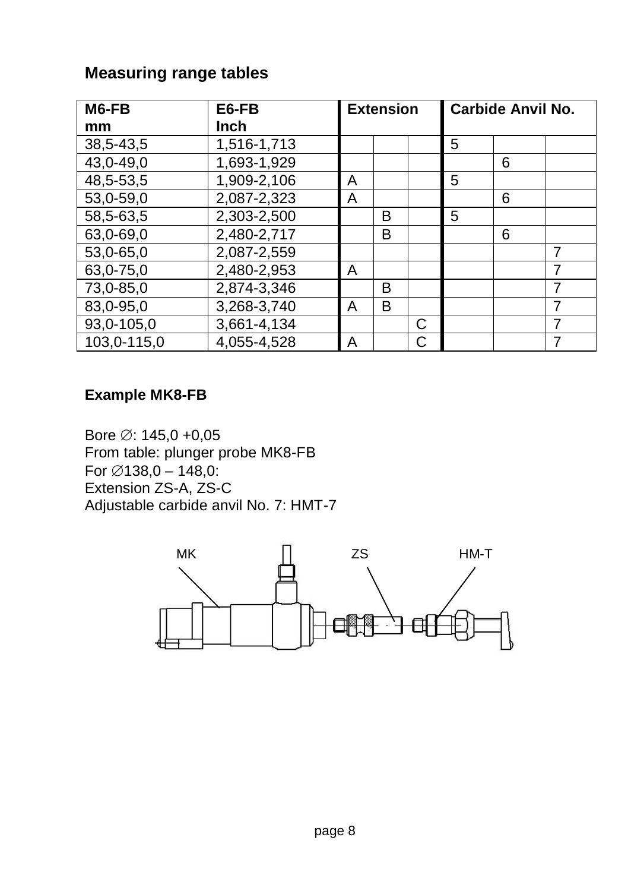| M6-FB       | E6-FB       | <b>Extension</b> |   |   | <b>Carbide Anvil No.</b> |   |   |  |  |
|-------------|-------------|------------------|---|---|--------------------------|---|---|--|--|
| mm          | <b>Inch</b> |                  |   |   |                          |   |   |  |  |
| 38,5-43,5   | 1,516-1,713 |                  |   |   | 5                        |   |   |  |  |
| 43,0-49,0   | 1,693-1,929 |                  |   |   |                          | 6 |   |  |  |
| 48,5-53,5   | 1,909-2,106 | Α                |   |   | 5                        |   |   |  |  |
| 53,0-59,0   | 2,087-2,323 | A                |   |   |                          | 6 |   |  |  |
| 58,5-63,5   | 2,303-2,500 |                  | B |   | 5                        |   |   |  |  |
| 63,0-69,0   | 2,480-2,717 |                  | B |   |                          | 6 |   |  |  |
| 53,0-65,0   | 2,087-2,559 |                  |   |   |                          |   |   |  |  |
| 63,0-75,0   | 2,480-2,953 | A                |   |   |                          |   | 7 |  |  |
| 73,0-85,0   | 2,874-3,346 |                  | в |   |                          |   | 7 |  |  |
| 83,0-95,0   | 3,268-3,740 | A                | B |   |                          |   |   |  |  |
| 93,0-105,0  | 3,661-4,134 |                  |   | С |                          |   | 7 |  |  |
| 103,0-115,0 | 4,055-4,528 | A                |   | C |                          |   |   |  |  |

#### **Example MK8-FB**

Bore  $\varnothing$ : 145,0 +0,05 From table: plunger probe MK8-FB For  $\emptyset$ 138,0 – 148,0: Extension ZS-A, ZS-C Adjustable carbide anvil No. 7: HMT-7

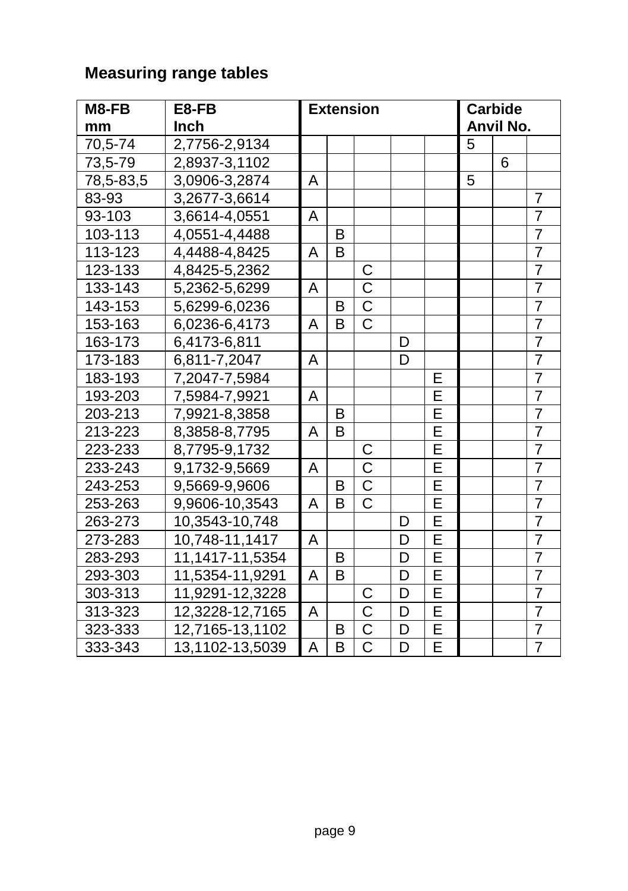| M8-FB     | E8-FB           |   |   | <b>Extension</b>      |   | <b>Carbide</b> |           |   |                |
|-----------|-----------------|---|---|-----------------------|---|----------------|-----------|---|----------------|
| mm        | Inch            |   |   |                       |   |                | Anvil No. |   |                |
| 70,5-74   | 2,7756-2,9134   |   |   |                       |   |                | 5         |   |                |
| 73,5-79   | 2,8937-3,1102   |   |   |                       |   |                |           | 6 |                |
| 78,5-83,5 | 3,0906-3,2874   | Α |   |                       |   |                | 5         |   |                |
| 83-93     | 3,2677-3,6614   |   |   |                       |   |                |           |   | $\overline{7}$ |
| 93-103    | 3,6614-4,0551   | Α |   |                       |   |                |           |   | $\overline{7}$ |
| 103-113   | 4,0551-4,4488   |   | B |                       |   |                |           |   | 7              |
| 113-123   | 4,4488-4,8425   | Α | B |                       |   |                |           |   | $\overline{7}$ |
| 123-133   | 4,8425-5,2362   |   |   | C                     |   |                |           |   | $\overline{7}$ |
| 133-143   | 5,2362-5,6299   | Α |   | $\overline{\text{c}}$ |   |                |           |   | $\overline{7}$ |
| 143-153   | 5,6299-6,0236   |   | B | $\overline{\text{c}}$ |   |                |           |   | $\overline{7}$ |
| 153-163   | 6,0236-6,4173   | A | B | $\overline{\text{C}}$ |   |                |           |   | $\overline{7}$ |
| 163-173   | 6,4173-6,811    |   |   |                       | D |                |           |   | $\overline{7}$ |
| 173-183   | 6,811-7,2047    | A |   |                       | D |                |           |   | $\overline{7}$ |
| 183-193   | 7,2047-7,5984   |   |   |                       |   | Ε              |           |   | $\overline{7}$ |
| 193-203   | 7,5984-7,9921   | A |   |                       |   | E              |           |   | $\overline{7}$ |
| 203-213   | 7,9921-8,3858   |   | B |                       |   | E              |           |   | 7              |
| 213-223   | 8,3858-8,7795   | Α | B |                       |   | Ē              |           |   | $\overline{7}$ |
| 223-233   | 8,7795-9,1732   |   |   | С                     |   | E              |           |   | $\overline{7}$ |
| 233-243   | 9,1732-9,5669   | Α |   | $\overline{\text{C}}$ |   | E              |           |   | $\overline{7}$ |
| 243-253   | 9,5669-9,9606   |   | B | $\overline{\text{c}}$ |   | E              |           |   | $\overline{7}$ |
| 253-263   | 9,9606-10,3543  | A | B | $\overline{C}$        |   | E              |           |   | 7              |
| 263-273   | 10,3543-10,748  |   |   |                       | D | $\overline{E}$ |           |   | $\overline{7}$ |
| 273-283   | 10,748-11,1417  | A |   |                       | D | E              |           |   | $\overline{7}$ |
| 283-293   | 11,1417-11,5354 |   | B |                       | D | E              |           |   | $\overline{7}$ |
| 293-303   | 11,5354-11,9291 | Α | B |                       | D | E              |           |   | $\overline{7}$ |
| 303-313   | 11,9291-12,3228 |   |   | C                     | D | E              |           |   | $\overline{7}$ |
| 313-323   | 12,3228-12,7165 | А |   | $\overline{\text{C}}$ | D | E              |           |   | $\overline{7}$ |
| 323-333   | 12,7165-13,1102 |   | в | C                     | D | $\overline{E}$ |           |   | $\overline{7}$ |
| 333-343   | 13,1102-13,5039 | Α | B | C                     | D | E              |           |   | $\overline{7}$ |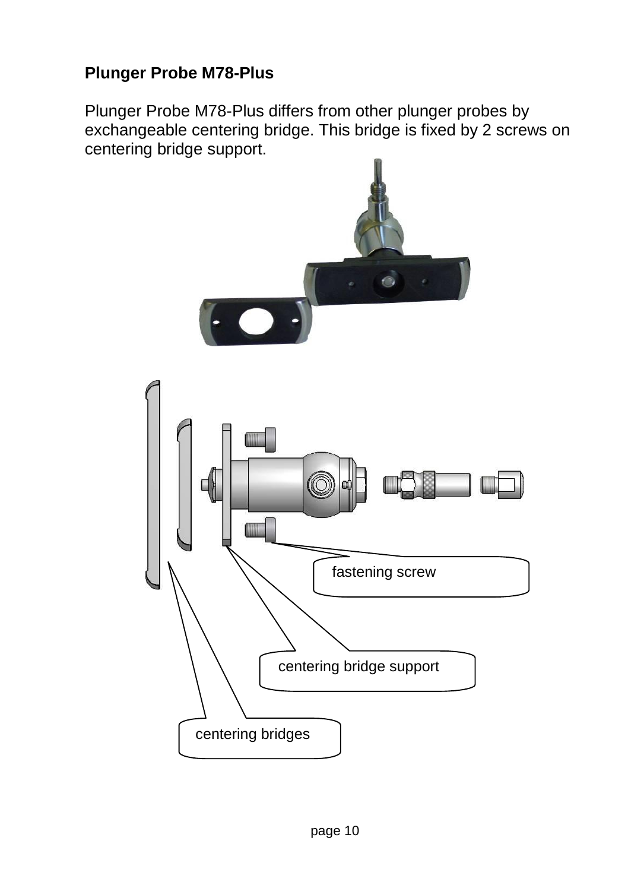## **Plunger Probe M78-Plus**

Plunger Probe M78-Plus differs from other plunger probes by exchangeable centering bridge. This bridge is fixed by 2 screws on centering bridge support.

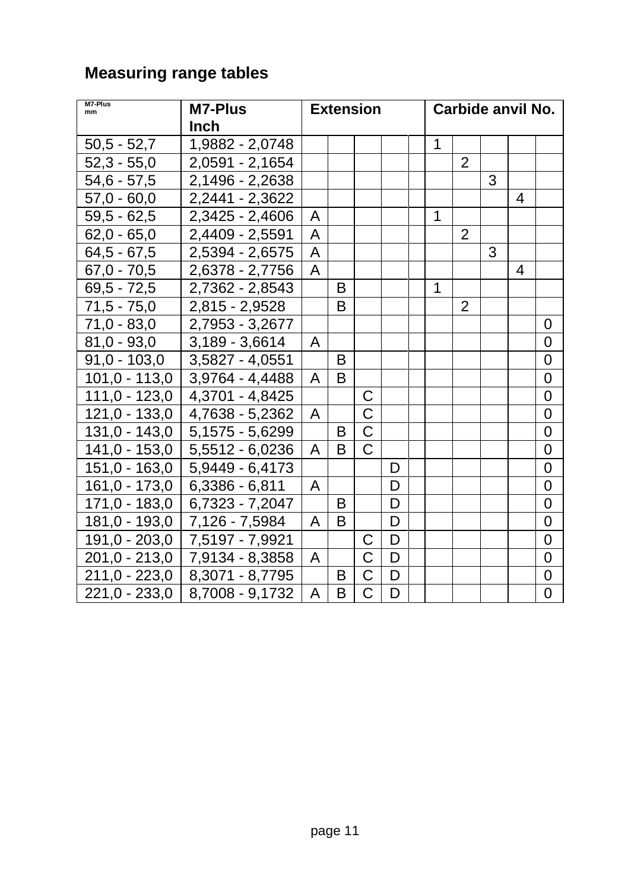| M7-Plus<br>mm   | M7-Plus<br>Inch   | <b>Extension</b> |   |                       |   |  |   | Carbide anvil No. |   |   |                  |  |
|-----------------|-------------------|------------------|---|-----------------------|---|--|---|-------------------|---|---|------------------|--|
| $50,5 - 52,7$   | 1,9882 - 2,0748   |                  |   |                       |   |  | 1 |                   |   |   |                  |  |
| $52,3 - 55,0$   | 2,0591 - 2,1654   |                  |   |                       |   |  |   | $\overline{2}$    |   |   |                  |  |
|                 |                   |                  |   |                       |   |  |   |                   |   |   |                  |  |
| 54,6 - 57,5     | 2,1496 - 2,2638   |                  |   |                       |   |  |   |                   | 3 |   |                  |  |
| $57,0 - 60,0$   | 2,2441 - 2,3622   |                  |   |                       |   |  |   |                   |   | 4 |                  |  |
| $59,5 - 62,5$   | 2,3425 - 2,4606   | A                |   |                       |   |  | 1 |                   |   |   |                  |  |
| $62,0 - 65,0$   | 2,4409 - 2,5591   | Α                |   |                       |   |  |   | 2                 |   |   |                  |  |
| $64,5 - 67,5$   | 2,5394 - 2,6575   | A                |   |                       |   |  |   |                   | 3 |   |                  |  |
| $67,0 - 70,5$   | 2,6378 - 2,7756   | A                |   |                       |   |  |   |                   |   | 4 |                  |  |
| $69,5 - 72,5$   | 2,7362 - 2,8543   |                  | B |                       |   |  | 1 |                   |   |   |                  |  |
| $71,5 - 75,0$   | 2,815 - 2,9528    |                  | B |                       |   |  |   | $\overline{2}$    |   |   |                  |  |
| $71,0 - 83,0$   | 2,7953 - 3,2677   |                  |   |                       |   |  |   |                   |   |   | 0                |  |
| $81,0 - 93,0$   | 3,189 - 3,6614    | A                |   |                       |   |  |   |                   |   |   | 0                |  |
| $91,0 - 103,0$  | 3,5827 - 4,0551   |                  | B |                       |   |  |   |                   |   |   | $\mathbf 0$      |  |
| $101,0 - 113,0$ | 3,9764 - 4,4488   | A                | B |                       |   |  |   |                   |   |   | 0                |  |
| $111,0 - 123,0$ | 4,3701 - 4,8425   |                  |   | С                     |   |  |   |                   |   |   | 0                |  |
| $121,0 - 133,0$ | 4,7638 - 5,2362   | Α                |   | $\overline{\text{C}}$ |   |  |   |                   |   |   | $\mathbf 0$      |  |
| $131,0 - 143,0$ | 5,1575 - 5,6299   |                  | B | $\overline{\text{C}}$ |   |  |   |                   |   |   | 0                |  |
| 141,0 - 153,0   | 5,5512 - 6,0236   | A                | B | $\overline{\text{c}}$ |   |  |   |                   |   |   | $\mathbf 0$      |  |
| $151,0 - 163,0$ | 5,9449 - 6,4173   |                  |   |                       | D |  |   |                   |   |   | $\mathbf 0$      |  |
| $161,0 - 173,0$ | 6,3386 - 6,811    | A                |   |                       | D |  |   |                   |   |   | 0                |  |
| $171,0 - 183,0$ | 6,7323 - 7,2047   |                  | B |                       | D |  |   |                   |   |   | $\overline{0}$   |  |
| 181,0 - 193,0   | 7,126 - 7,5984    | Α                | B |                       | D |  |   |                   |   |   | $\mathbf 0$      |  |
| 191,0 - 203,0   | 7,5197 - 7,9921   |                  |   | С                     | D |  |   |                   |   |   | $\boldsymbol{0}$ |  |
| 201,0 - 213,0   | 7,9134 - 8,3858   | A                |   | C                     | D |  |   |                   |   |   | 0                |  |
| 211,0 - 223,0   | 8,3071 - 8,7795   |                  | B | C                     | D |  |   |                   |   |   | $\mathbf 0$      |  |
| 221,0 - 233,0   | $8,7008 - 9,1732$ | A                | B | C                     | D |  |   |                   |   |   | $\overline{0}$   |  |